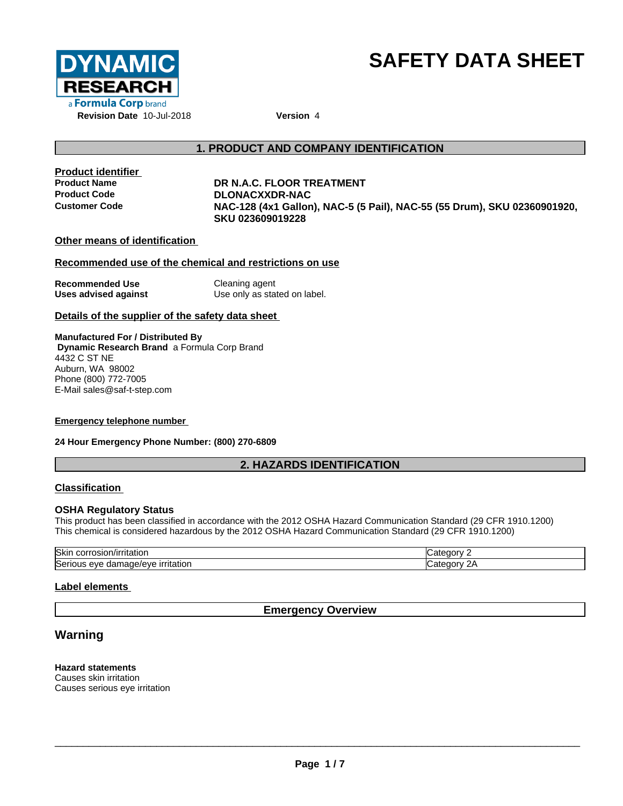

# **SAFETY DATA SHEET**

# **1. PRODUCT AND COMPANY IDENTIFICATION**

**Product identifier**

# **Product Name DR N.A.C. FLOOR TREATMENT Product Code DLONACXXDR-NAC Customer Code NAC-128 (4x1 Gallon), NAC-5 (5 Pail), NAC-55 (55 Drum), SKU 02360901920, SKU 023609019228**

**Other means of identification**

# **Recommended use of the chemical and restrictions on use**

**Recommended Use** Cleaning agent **Uses advised against** Use only as stated on label.

# **Details of the supplier of the safety data sheet**

**Manufactured For / Distributed By Dynamic Research Brand** a Formula Corp Brand 4432 C ST NE Auburn, WA 98002 Phone (800) 772-7005 E-Mail sales@saf-t-step.com

# **Emergency telephone number**

# **24 Hour Emergency Phone Number: (800) 270-6809**

# **2. HAZARDS IDENTIFICATION**

# **Classification**

# **OSHA Regulatory Status**

This product has been classified in accordance with the 2012 OSHA Hazard Communication Standard (29 CFR 1910.1200) This chemical is considered hazardous by the 2012 OSHA Hazard Communication Standard (29 CFR 1910.1200)

| lSkir<br>τιτατιοι.<br>$\ldots$<br>י ישובש.                     | זנזנ      |
|----------------------------------------------------------------|-----------|
| IA/AVE<br>iserious<br>. eve<br>~<br>πaτιor<br>uar<br>naut<br>ີ | חרזר<br>ີ |

# **Label elements**

# **Emergency Overview**

# **Warning**

**Hazard statements** Causes skin irritation Causes serious eye irritation

 $\overline{\phantom{a}}$  ,  $\overline{\phantom{a}}$  ,  $\overline{\phantom{a}}$  ,  $\overline{\phantom{a}}$  ,  $\overline{\phantom{a}}$  ,  $\overline{\phantom{a}}$  ,  $\overline{\phantom{a}}$  ,  $\overline{\phantom{a}}$  ,  $\overline{\phantom{a}}$  ,  $\overline{\phantom{a}}$  ,  $\overline{\phantom{a}}$  ,  $\overline{\phantom{a}}$  ,  $\overline{\phantom{a}}$  ,  $\overline{\phantom{a}}$  ,  $\overline{\phantom{a}}$  ,  $\overline{\phantom{a}}$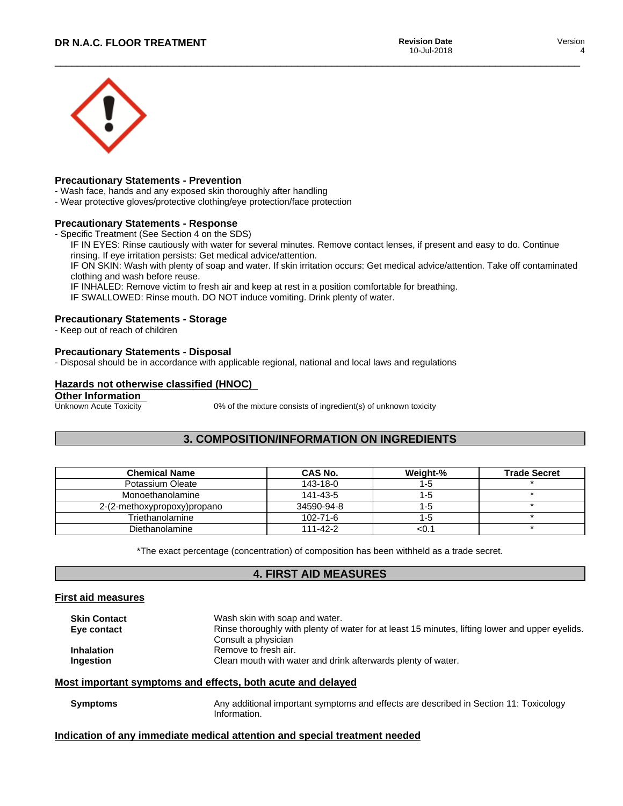

# **Precautionary Statements - Prevention**

- Wash face, hands and any exposed skin thoroughly after handling
- Wear protective gloves/protective clothing/eye protection/face protection

# **Precautionary Statements - Response**

- Specific Treatment (See Section 4 on the SDS)

IF IN EYES: Rinse cautiously with water for several minutes. Remove contact lenses, if present and easy to do. Continue rinsing. If eye irritation persists: Get medical advice/attention.

IF ON SKIN: Wash with plenty of soap and water. If skin irritation occurs: Get medical advice/attention. Take off contaminated clothing and wash before reuse.

IF INHALED: Remove victim to fresh air and keep at rest in a position comfortable for breathing.

IF SWALLOWED: Rinse mouth. DO NOT induce vomiting. Drink plenty of water.

# **Precautionary Statements - Storage**

- Keep out of reach of children

# **Precautionary Statements - Disposal**

- Disposal should be in accordance with applicable regional, national and local laws and regulations

# **Hazards not otherwise classified (HNOC)**

**Other Information**<br>Unknown Acute Toxicity

0% of the mixture consists of ingredient(s) of unknown toxicity

# **3. COMPOSITION/INFORMATION ON INGREDIENTS**

| <b>Chemical Name</b>        | CAS No.        | Weight-% | <b>Trade Secret</b> |
|-----------------------------|----------------|----------|---------------------|
| Potassium Oleate            | 143-18-0       | I-a      |                     |
| Monoethanolamine            | 141-43-5       | ה-ו      |                     |
| 2-(2-methoxypropoxy)propano | 34590-94-8     | -0       |                     |
| Triethanolamine             | $102 - 71 - 6$ | l -5     |                     |
| Diethanolamine              | $111 - 42 - 2$ | <∪.      |                     |

\*The exact percentage (concentration) of composition has been withheld as a trade secret.

# **4. FIRST AID MEASURES**

# **First aid measures**

| <b>Skin Contact</b> | Wash skin with soap and water.                                                                  |
|---------------------|-------------------------------------------------------------------------------------------------|
| Eye contact         | Rinse thoroughly with plenty of water for at least 15 minutes, lifting lower and upper eyelids. |
|                     | Consult a physician                                                                             |
| <b>Inhalation</b>   | Remove to fresh air.                                                                            |
| Ingestion           | Clean mouth with water and drink afterwards plenty of water.                                    |
|                     |                                                                                                 |

# **Most important symptoms and effects, both acute and delayed**

**Symptoms** Any additional important symptoms and effects are described in Section 11: Toxicology Information.

# **Indication of any immediate medical attention and special treatment needed**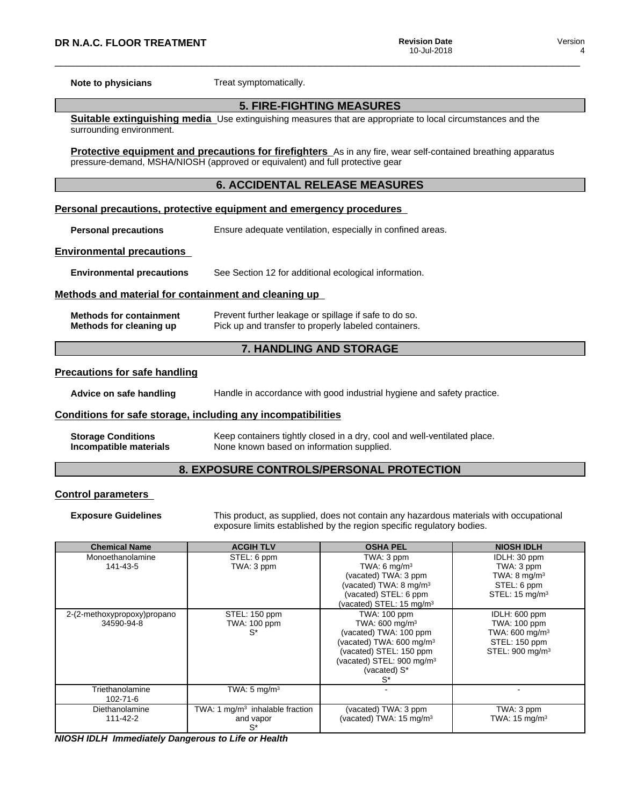**Note to physicians** Treat symptomatically.

# **5. FIRE-FIGHTING MEASURES**

**Suitable extinguishing media** Use extinguishing measures that are appropriate to local circumstances and the surrounding environment.

**Protective equipment and precautions for firefighters** As in any fire, wear self-contained breathing apparatus pressure-demand, MSHA/NIOSH (approved or equivalent) and full protective gear

# **6. ACCIDENTAL RELEASE MEASURES**

#### **Personal precautions, protective equipment and emergency procedures**

**Personal precautions** Ensure adequate ventilation, especially in confined areas.

#### **Environmental precautions**

**Environmental precautions** See Section 12 for additional ecological information.

# **Methods and material for containment and cleaning up**

| <b>Methods for containment</b> | Prevent further leakage or spillage if safe to do so. |
|--------------------------------|-------------------------------------------------------|
| Methods for cleaning up        | Pick up and transfer to properly labeled containers.  |

# **7. HANDLING AND STORAGE**

#### **Precautions for safe handling**

**Advice on safe handling** Handle in accordance with good industrial hygiene and safety practice.

# **Conditions for safe storage, including any incompatibilities**

| <b>Storage Conditions</b> | Keep containers tightly closed in a dry, cool and well-ventilated place. |
|---------------------------|--------------------------------------------------------------------------|
| Incompatible materials    | None known based on information supplied.                                |

# **8. EXPOSURE CONTROLS/PERSONAL PROTECTION**

# **Control parameters**

**Exposure Guidelines** This product, as supplied, does not contain any hazardous materials with occupational exposure limits established by the region specific regulatory bodies.

| <b>Chemical Name</b>                      | <b>ACGIH TLV</b>                                        | <b>OSHA PEL</b>                                                                                                                                                                                        | <b>NIOSH IDLH</b>                                                                                  |
|-------------------------------------------|---------------------------------------------------------|--------------------------------------------------------------------------------------------------------------------------------------------------------------------------------------------------------|----------------------------------------------------------------------------------------------------|
| Monoethanolamine                          | STEL: 6 ppm                                             | TWA: 3 ppm                                                                                                                                                                                             | IDLH: 30 ppm                                                                                       |
| 141-43-5                                  | TWA: 3 ppm                                              | TWA: 6 $mq/m3$                                                                                                                                                                                         | TWA: 3 ppm                                                                                         |
|                                           |                                                         | (vacated) TWA: 3 ppm                                                                                                                                                                                   | TWA: $8 \text{ mg/m}^3$                                                                            |
|                                           |                                                         | (vacated) TWA: 8 mg/m <sup>3</sup>                                                                                                                                                                     | STEL: 6 ppm                                                                                        |
|                                           |                                                         | (vacated) STEL: 6 ppm                                                                                                                                                                                  | STEL: $15 \text{ mg/m}^3$                                                                          |
|                                           |                                                         | (vacated) STEL: 15 mg/m <sup>3</sup>                                                                                                                                                                   |                                                                                                    |
| 2-(2-methoxypropoxy)propano<br>34590-94-8 | STEL: 150 ppm<br>TWA: 100 ppm<br>$S^*$                  | TWA: 100 ppm<br>TWA: 600 mg/m <sup>3</sup><br>(vacated) TWA: 100 ppm<br>(vacated) TWA: 600 mg/m <sup>3</sup><br>(vacated) STEL: 150 ppm<br>(vacated) STEL: 900 mg/m <sup>3</sup><br>(vacated) S*<br>S* | IDLH: 600 ppm<br>TWA: 100 ppm<br>TWA: 600 mg/m $3$<br>STEL: 150 ppm<br>STEL: 900 mg/m <sup>3</sup> |
| Triethanolamine<br>102-71-6               | TWA: $5 \text{ mg/m}^3$                                 |                                                                                                                                                                                                        |                                                                                                    |
| Diethanolamine<br>111-42-2                | TWA: 1 $mg/m3$ inhalable fraction<br>and vapor<br>$S^*$ | (vacated) TWA: 3 ppm<br>(vacated) TWA: 15 mg/m <sup>3</sup>                                                                                                                                            | TWA: 3 ppm<br>TWA: $15 \text{ mg/m}^3$                                                             |

*NIOSH IDLH Immediately Dangerous to Life or Health*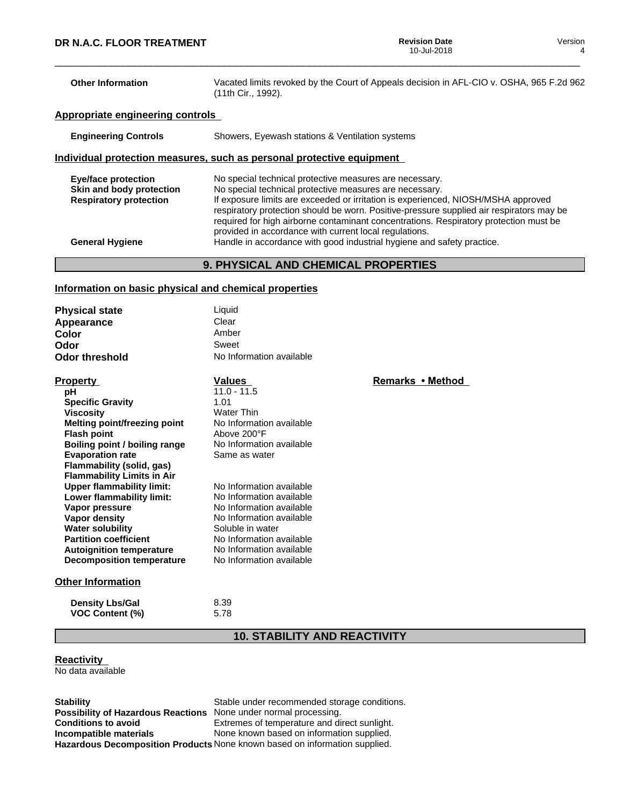| <b>Other Information</b>                                  | Vacated limits revoked by the Court of Appeals decision in AFL-CIO v. OSHA, 965 F.2d 962<br>(11th Cir., 1992).                                                                                                                                                                                                                                                                              |
|-----------------------------------------------------------|---------------------------------------------------------------------------------------------------------------------------------------------------------------------------------------------------------------------------------------------------------------------------------------------------------------------------------------------------------------------------------------------|
| Appropriate engineering controls                          |                                                                                                                                                                                                                                                                                                                                                                                             |
| <b>Engineering Controls</b>                               | Showers, Eyewash stations & Ventilation systems                                                                                                                                                                                                                                                                                                                                             |
|                                                           | Individual protection measures, such as personal protective equipment                                                                                                                                                                                                                                                                                                                       |
| <b>Eye/face protection</b>                                | No special technical protective measures are necessary.                                                                                                                                                                                                                                                                                                                                     |
| Skin and body protection<br><b>Respiratory protection</b> | No special technical protective measures are necessary.<br>If exposure limits are exceeded or irritation is experienced, NIOSH/MSHA approved<br>respiratory protection should be worn. Positive-pressure supplied air respirators may be<br>required for high airborne contaminant concentrations. Respiratory protection must be<br>provided in accordance with current local regulations. |
| <b>General Hygiene</b>                                    | Handle in accordance with good industrial hygiene and safety practice.                                                                                                                                                                                                                                                                                                                      |

# **9. PHYSICAL AND CHEMICAL PROPERTIES**

# **Information on basic physical and chemical properties**

| <b>Physical state</b> | Liauid                   |
|-----------------------|--------------------------|
| Appearance            | Clear                    |
| Color                 | Amber                    |
| Odor                  | Sweet                    |
| <b>Odor threshold</b> | No Information available |

| <b>Property</b>                   | Values                   | Remarks • Method |
|-----------------------------------|--------------------------|------------------|
| рH                                | $11.0 - 11.5$            |                  |
| <b>Specific Gravity</b>           | 1.01                     |                  |
| <b>Viscosity</b>                  | Water Thin               |                  |
| Melting point/freezing point      | No Information available |                  |
| <b>Flash point</b>                | Above 200°F              |                  |
| Boiling point / boiling range     | No Information available |                  |
| <b>Evaporation rate</b>           | Same as water            |                  |
| Flammability (solid, gas)         |                          |                  |
| <b>Flammability Limits in Air</b> |                          |                  |
| <b>Upper flammability limit:</b>  | No Information available |                  |
| Lower flammability limit:         | No Information available |                  |
| Vapor pressure                    | No Information available |                  |
| Vapor density                     | No Information available |                  |
| <b>Water solubility</b>           | Soluble in water         |                  |
| <b>Partition coefficient</b>      | No Information available |                  |
| <b>Autoignition temperature</b>   | No Information available |                  |
| <b>Decomposition temperature</b>  | No Information available |                  |
| Other Information                 |                          |                  |

# **Other Information**

| <b>Density Lbs/Gal</b> | 8.39 |
|------------------------|------|
| <b>VOC Content (%)</b> | 5.78 |

# **10. STABILITY AND REACTIVITY**

# **Reactivity**

No data available

**Possibility of Hazardous Reactions** None under normal processing.<br> **Conditions to avoid** Extremes of temperature and di **Hazardous Decomposition Products** None known based on information supplied.

**Stability** Stable under recommended storage conditions. **Conditions to avoid**<br> **Extremes of temperature and direct sunlight.**<br> **Incompatible materials**<br>
None known based on information supplied. None known based on information supplied.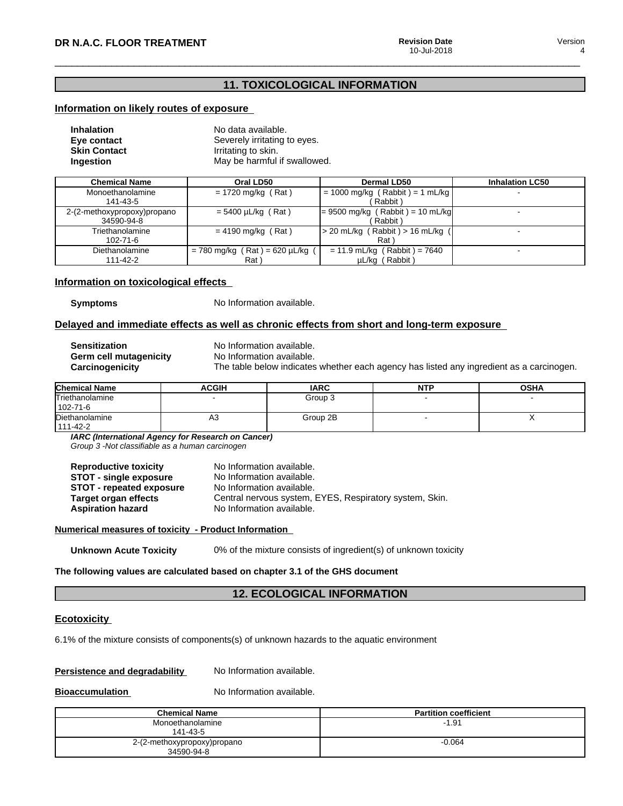# **11. TOXICOLOGICAL INFORMATION**

# **Information on likely routes of exposure**

| <b>Inhalation</b>   | No data available.           |
|---------------------|------------------------------|
| Eye contact         | Severely irritating to eyes. |
| <b>Skin Contact</b> | Irritating to skin.          |
| Ingestion           | May be harmful if swallowed. |

| <b>Chemical Name</b>        | Oral LD50                         | Dermal LD50                          | <b>Inhalation LC50</b> |
|-----------------------------|-----------------------------------|--------------------------------------|------------------------|
| Monoethanolamine            | $= 1720$ mg/kg (Rat)              | $= 1000$ mg/kg (Rabbit) = 1 mL/kg    |                        |
| 141-43-5                    |                                   | Rabbit)                              |                        |
| 2-(2-methoxypropoxy)propano | $= 5400 \mu L/kg$ (Rat)           | $= 9500$ mg/kg (Rabbit) = 10 mL/kg   |                        |
| 34590-94-8                  |                                   | Rabbit)                              |                        |
| Triethanolamine             | $= 4190$ mg/kg (Rat)              | $>$ 20 mL/kg (Rabbit) $>$ 16 mL/kg ( |                        |
| $102 - 71 - 6$              |                                   | Rat                                  |                        |
| Diethanolamine              | $= 780$ mg/kg (Rat) = 620 µL/kg ( | $= 11.9$ mL/kg (Rabbit) = 7640       |                        |
| 111-42-2                    | Rat )                             | µL/kg (Rabbit)                       |                        |

# **Information on toxicological effects**

**Symptoms** No Information available.

# **Delayed and immediate effects as well as chronic effects from short and long-term exposure**

| Sensitization          |
|------------------------|
| Germ cell mutagenicity |
| Carcinogenicitv        |

**No Information available.** No Information available. The table below indicates whether each agency has listed any ingredient as a carcinogen.

| <b>Chemical Name</b>        | <b>ACGIH</b> | <b>IARC</b> | <b>NTP</b> | <b>OSHA</b> |
|-----------------------------|--------------|-------------|------------|-------------|
| Triethanolamine<br>102-71-6 |              | Group 3     |            | -           |
| Diethanolamine<br>111-42-2  | А3           | Group 2B    |            |             |

*IARC (International Agency for Research on Cancer)*

*Group 3 -Not classifiable as a human carcinogen*

| <b>Reproductive toxicity</b>    | No Information available.                               |
|---------------------------------|---------------------------------------------------------|
| <b>STOT - single exposure</b>   | No Information available.                               |
| <b>STOT</b> - repeated exposure | No Information available.                               |
| <b>Target organ effects</b>     | Central nervous system, EYES, Respiratory system, Skin. |
| <b>Aspiration hazard</b>        | No Information available.                               |

#### **Numerical measures of toxicity - Product Information**

**Unknown Acute Toxicity** 0% of the mixture consists of ingredient(s) of unknown toxicity

**The following values are calculated based on chapter 3.1 of the GHS document**

# **12. ECOLOGICAL INFORMATION**

# **Ecotoxicity**

6.1% of the mixture consists of components(s) of unknown hazards to the aquatic environment

# **Persistence and degradability** No Information available.

**Bioaccumulation** No Information available.

| <b>Chemical Name</b>                      | <b>Partition coefficient</b> |
|-------------------------------------------|------------------------------|
| Monoethanolamine<br>141-43-5              | $-1.91$                      |
| 2-(2-methoxypropoxy)propano<br>34590-94-8 | $-0.064$                     |

Version 4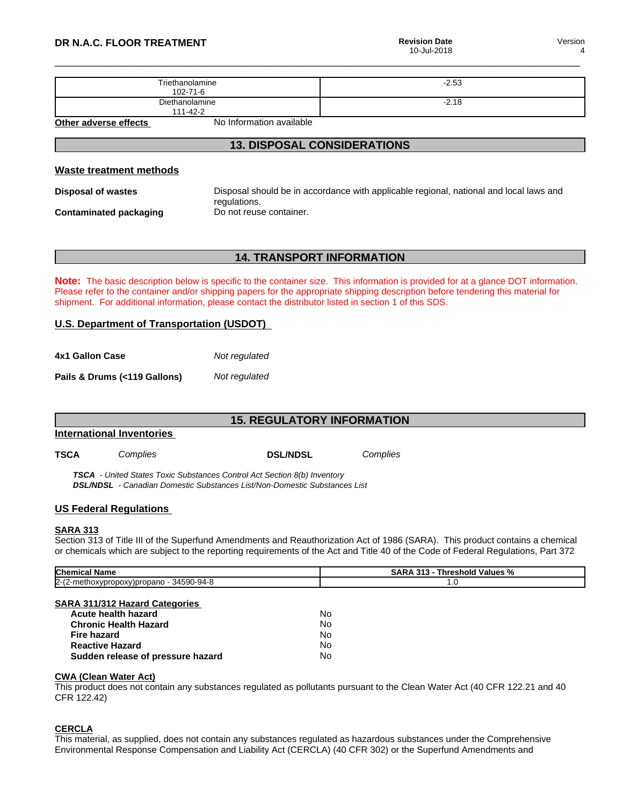Version 4

| Triethanolamine<br>$102 - 71 - 6$ | $-2.53$ |
|-----------------------------------|---------|
| Diethanolamine<br>111-42-2        | $-2.18$ |

**Other adverse effects** No Information available

# **13. DISPOSAL CONSIDERATIONS**

# **Waste treatment methods**

**Disposal of wastes** Disposal should be in accordance with applicable regional, national and local laws and regulations. **Contaminated packaging** Do not reuse container.

# **14. TRANSPORT INFORMATION**

**Note:** The basic description below is specific to the container size. This information is provided for at a glance DOT information. Please refer to the container and/or shipping papers for the appropriate shipping description before tendering this material for shipment. For additional information, please contact the distributor listed in section 1 of this SDS.

# **U.S. Department of Transportation (USDOT)**

| 4x1 Gallon Case              | Not regulated |
|------------------------------|---------------|
| Pails & Drums (<119 Gallons) | Not regulated |

|                           |          | <b>15. REGULATORY INFORMATION</b> |          |
|---------------------------|----------|-----------------------------------|----------|
| International Inventories |          |                                   |          |
| <b>TSCA</b>               | Complies | <b>DSL/NDSL</b>                   | Complies |

 *TSCA - United States Toxic Substances Control Act Section 8(b) Inventory DSL/NDSL - Canadian Domestic Substances List/Non-Domestic Substances List*

# **US Federal Regulations**

# **SARA 313**

Section 313 of Title III of the Superfund Amendments and Reauthorization Act of 1986 (SARA). This product contains a chemical or chemicals which are subject to the reporting requirements of the Act and Title 40 of the Code of Federal Regulations, Part 372

| <b>Chemical Name</b>                     | <b>SARA 313 - Threshold Values %</b> |  |
|------------------------------------------|--------------------------------------|--|
| 2-(2-methoxypropoxy)propano - 34590-94-8 | 1.0                                  |  |
|                                          |                                      |  |
| <b>SARA 311/312 Hazard Categories</b>    |                                      |  |
| Acute health hazard                      | No                                   |  |
| <b>Chronic Health Hazard</b>             | No                                   |  |
| <b>Fire hazard</b>                       | No                                   |  |
| <b>Reactive Hazard</b>                   | No                                   |  |
| Sudden release of pressure hazard        | No                                   |  |

# **CWA (Clean WaterAct)**

This product does not contain any substances regulated as pollutants pursuant to the Clean Water Act (40 CFR 122.21 and 40 CFR 122.42)

# **CERCLA**

This material, as supplied, does not contain any substances regulated as hazardous substances under the Comprehensive Environmental Response Compensation and Liability Act (CERCLA) (40 CFR 302) or the Superfund Amendments and